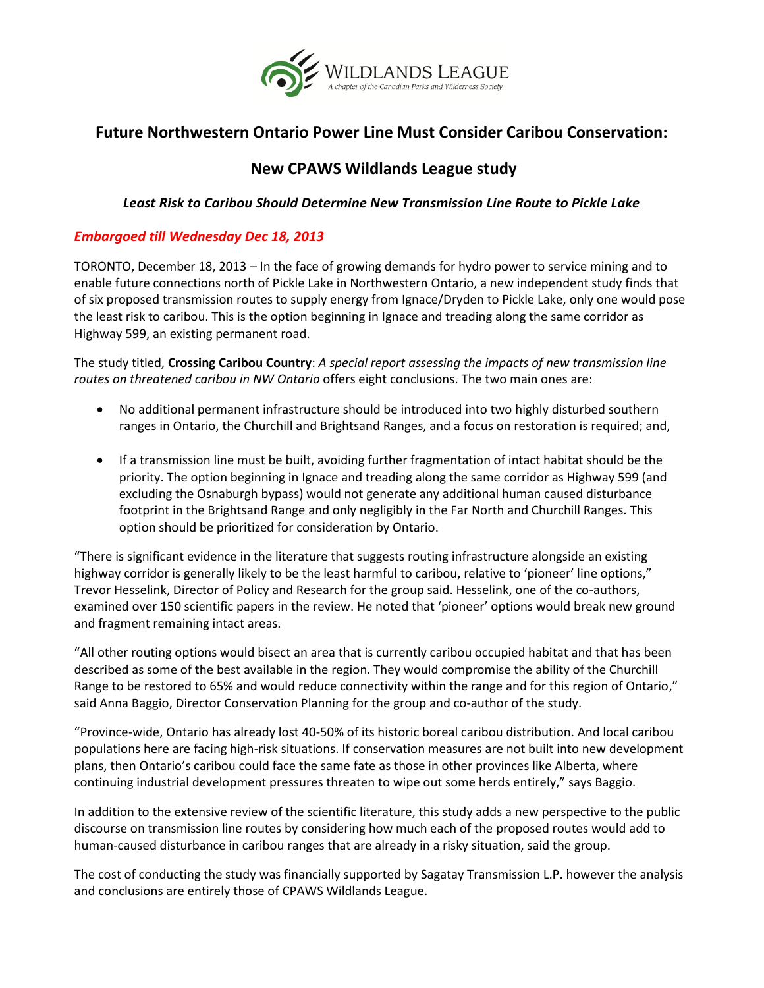

## **Future Northwestern Ontario Power Line Must Consider Caribou Conservation:**

## **New CPAWS Wildlands League study**

## *Least Risk to Caribou Should Determine New Transmission Line Route to Pickle Lake*

## *Embargoed till Wednesday Dec 18, 2013*

TORONTO, December 18, 2013 – In the face of growing demands for hydro power to service mining and to enable future connections north of Pickle Lake in Northwestern Ontario, a new independent study finds that of six proposed transmission routes to supply energy from Ignace/Dryden to Pickle Lake, only one would pose the least risk to caribou. This is the option beginning in Ignace and treading along the same corridor as Highway 599, an existing permanent road.

The study titled, **Crossing Caribou Country**: *A special report assessing the impacts of new transmission line routes on threatened caribou in NW Ontario* offers eight conclusions. The two main ones are:

- No additional permanent infrastructure should be introduced into two highly disturbed southern ranges in Ontario, the Churchill and Brightsand Ranges, and a focus on restoration is required; and,
- If a transmission line must be built, avoiding further fragmentation of intact habitat should be the priority. The option beginning in Ignace and treading along the same corridor as Highway 599 (and excluding the Osnaburgh bypass) would not generate any additional human caused disturbance footprint in the Brightsand Range and only negligibly in the Far North and Churchill Ranges. This option should be prioritized for consideration by Ontario.

"There is significant evidence in the literature that suggests routing infrastructure alongside an existing highway corridor is generally likely to be the least harmful to caribou, relative to 'pioneer' line options," Trevor Hesselink, Director of Policy and Research for the group said. Hesselink, one of the co-authors, examined over 150 scientific papers in the review. He noted that 'pioneer' options would break new ground and fragment remaining intact areas.

"All other routing options would bisect an area that is currently caribou occupied habitat and that has been described as some of the best available in the region. They would compromise the ability of the Churchill Range to be restored to 65% and would reduce connectivity within the range and for this region of Ontario," said Anna Baggio, Director Conservation Planning for the group and co-author of the study.

"Province-wide, Ontario has already lost 40-50% of its historic boreal caribou distribution. And local caribou populations here are facing high-risk situations. If conservation measures are not built into new development plans, then Ontario's caribou could face the same fate as those in other provinces like Alberta, where continuing industrial development pressures threaten to wipe out some herds entirely," says Baggio.

In addition to the extensive review of the scientific literature, this study adds a new perspective to the public discourse on transmission line routes by considering how much each of the proposed routes would add to human-caused disturbance in caribou ranges that are already in a risky situation, said the group.

The cost of conducting the study was financially supported by Sagatay Transmission L.P. however the analysis and conclusions are entirely those of CPAWS Wildlands League.